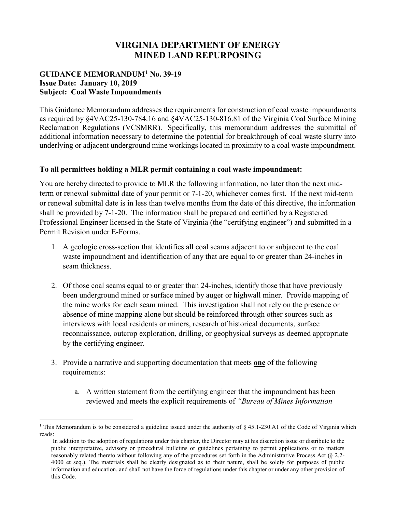## **VIRGINIA DEPARTMENT OF ENERGY MINED LAND REPURPOSING**

## **GUIDANCE MEMORANDUM[1](#page-0-0) No. 39-19 Issue Date: January 10, 2019 Subject: Coal Waste Impoundments**

This Guidance Memorandum addresses the requirements for construction of coal waste impoundments as required by §4VAC25-130-784.16 and §4VAC25-130-816.81 of the Virginia Coal Surface Mining Reclamation Regulations (VCSMRR). Specifically, this memorandum addresses the submittal of additional information necessary to determine the potential for breakthrough of coal waste slurry into underlying or adjacent underground mine workings located in proximity to a coal waste impoundment.

## **To all permittees holding a MLR permit containing a coal waste impoundment:**

You are hereby directed to provide to MLR the following information, no later than the next midterm or renewal submittal date of your permit or 7-1-20, whichever comes first. If the next mid-term or renewal submittal date is in less than twelve months from the date of this directive, the information shall be provided by 7-1-20. The information shall be prepared and certified by a Registered Professional Engineer licensed in the State of Virginia (the "certifying engineer") and submitted in a Permit Revision under E-Forms.

- 1. A geologic cross-section that identifies all coal seams adjacent to or subjacent to the coal waste impoundment and identification of any that are equal to or greater than 24-inches in seam thickness.
- 2. Of those coal seams equal to or greater than 24-inches, identify those that have previously been underground mined or surface mined by auger or highwall miner. Provide mapping of the mine works for each seam mined. This investigation shall not rely on the presence or absence of mine mapping alone but should be reinforced through other sources such as interviews with local residents or miners, research of historical documents, surface reconnaissance, outcrop exploration, drilling, or geophysical surveys as deemed appropriate by the certifying engineer.
- 3. Provide a narrative and supporting documentation that meets **one** of the following requirements:
	- a. A written statement from the certifying engineer that the impoundment has been reviewed and meets the explicit requirements of *"Bureau of Mines Information*

<span id="page-0-0"></span><sup>&</sup>lt;sup>1</sup> This Memorandum is to be considered a guideline issued under the authority of § 45.1-230.A1 of the Code of Virginia which reads:

In addition to the adoption of regulations under this chapter, the Director may at his discretion issue or distribute to the public interpretative, advisory or procedural bulletins or guidelines pertaining to permit applications or to matters reasonably related thereto without following any of the procedures set forth in the Administrative Process Act (§ 2.2- 4000 et seq.). The materials shall be clearly designated as to their nature, shall be solely for purposes of public information and education, and shall not have the force of regulations under this chapter or under any other provision of this Code.